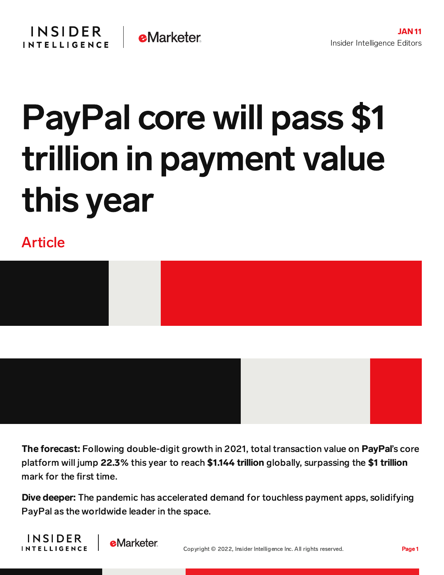## PayPal core will pass \$1 trillion in payment value this year

## Article



The forecast: Following double-digit growth in 2021, total transaction value on PayPal's core platform will jump 22.3% this year to reach \$1.144 trillion globally, surpassing the \$1 trillion mark for the first time.

Dive deeper: The pandemic has accelerated demand for touchless payment apps, solidifying PayPal as the worldwide leader in the space.